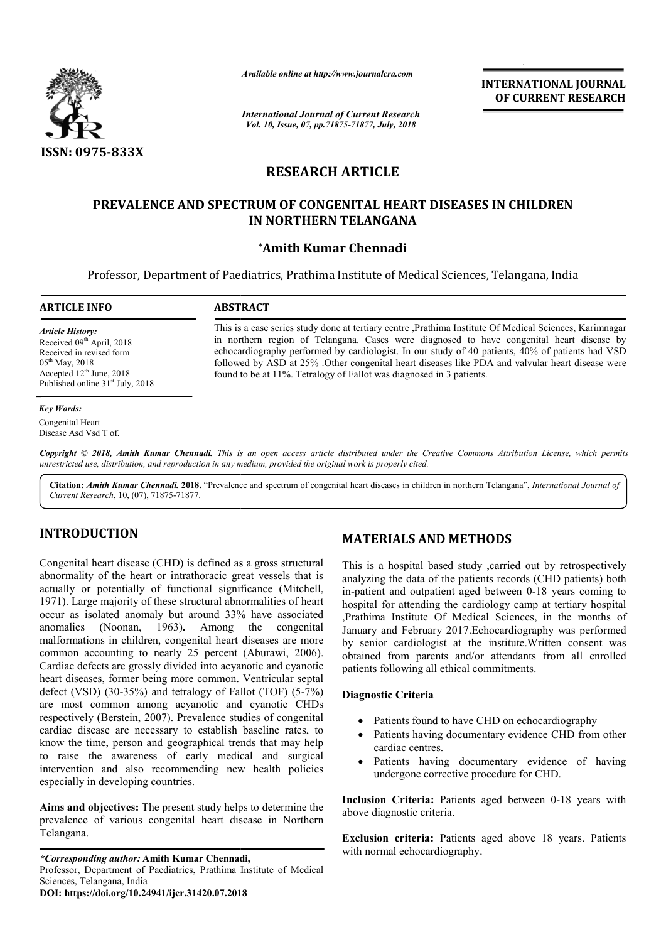

*International Journal of Current Research Vol. 10, Issue, 07, pp.71875-71877, July, 2018*

**INTERNATIONAL JOURNAL OF CURRENT RESEARCH**

# **RESEARCH ARTICLE**

# PREVALENCE AND SPECTRUM OF CONGENITAL HEART DISEASES IN CHILDREN **IN NORTHERN TELANGANA** Available online at http://www.journalcra.com<br> *Finternational Journal of Current Researce Vol. 10, Issue, 07, pp.71875-71877, July, 201.*<br> **RESEARCH ARTICLE**<br> **SPECTRUM OF CONGENITAL HEAI**<br>
IN NORTHERN TELANGAN/<br>
\*Amith K

# **\*Amith Kumar Chennadi**

Professor, Department of Paediatrics, Prathima Institute of Medical Sciences, Telangana, India

**ARTICLE INFO ABSTRACT**

*Article History:* Received 09<sup>th</sup> April, 2018 Received in revised form 05<sup>th</sup> May, 2018 Accepted 12<sup>th</sup> June, 2018 Published online 31<sup>st</sup> July, 2018

#### *Key Words:*

Congenital Heart Disease Asd Vsd T of.

Copyright © 2018, Amith Kumar Chennadi. This is an open access article distributed under the Creative Commons Attribution License, which permits *unrestricted use, distribution, and reproduction in any medium, provided the original work is properly cited.*

found to be at 11%. Tetralogy of Fallot was diagnosed in 3 patients.

Citation: Amith Kumar Chennadi. 2018. "Prevalence and spectrum of congenital heart diseases in children in northern Telangana", *International Journal of Current Research*, 10, (07), 71875-71877.

# **INTRODUCTION**

Congenital heart disease (CHD) is defined as a gross structural abnormality of the heart or intrathoracic great vessels that is actually or potentially of functional significance (Mitchell, 1971). Large majority of these structural abnormalities of heart occur as isolated anomaly but around 33% have associated anomalies (Noonan, 1963)**.** Among the congenital malformations in children, congenital heart diseases are more occur as isolated anomaly but around 33% have associated<br>anomalies (Noonan, 1963). Among the congenital<br>malformations in children, congenital heart diseases are more<br>common accounting to nearly 25 percent (Aburawi, 2006). Cardiac defects are grossly divided into acyanotic and cyanotic heart diseases, former being more common. Ventricular septal defect (VSD)  $(30-35%)$  and tetralogy of Fallot (TOF)  $(5-7%)$ are most common among acyanotic and cyanotic CHDs respectively (Berstein, 2007). Prevalence studies of congenital cardiac disease are necessary to establish baseline rates, to know the time, person and geographical trends that may help to raise the awareness of early medical and surgical intervention and also recommending new health policies especially in developing countries. **MATERIALS AND METHODS**<br>
ind as a gross structural This is a hospital based study ,carri<br>
incit great vessels that is analyzing the data of the patients rec<br>
significance (Mitchell, in-patient and outpatient aged between t

**Aims and objectives:** The present study helps to determine the prevalence of various congenital heart disease in Northern Telangana.

*\*Corresponding author:* **Amith Kumar Chennadi Chennadi,** Professor, Department of Paediatrics, Prathima Institute of Medical Sciences, Telangana, India **DOI: https://doi.org/10.24941/ijcr.31420.07.2018**

## **MATERIALS AND METHODS**

This is a case series study done at tertiary centre ,Prathima Institute Of Medical Sciences, Karimnagar in northern region of Telangana. Cases were diagnosed to have congenital heart disease by echocardiography performed by cardiologist. In our study of 40 patients, 40% of patients had VSD followed b by ASD at 25% .Other congenital heart diseases like PDA and valvular heart disease were

in northern region of Telangana. Cases were diagnosed to have congenital heart disease by echocardiography performed by cardiologist. In our study of 40 patients, 40% of patients had VSD followed by ASD at 25% .Other conge

This is a hospital based study ,carried out by retrospectively analyzing the data of the patients records (CHD patients) both in-patient and outpatient aged between 0-18 years coming to hospital for attending the cardiology camp at tertiary hospital ,Prathima Institute Of Medical Sciences, in the months of January and February 2017.Echocardiography was performed by senior cardiologist at the institute.Written consent was obtained from parents and/or attendants from all enrolled patients following all ethical commitments. is is a hospital based study ,carried out by retrospectively alyzing the data of the patients records (CHD patients) both patient and outpatient aged between 0-18 years coming to carding the cardiology camp at tertiary hospital<br>
1. Prathima Institute Of Medical Sciences, in the months of<br>
1. January and February 2017. Echocardiography was performed<br>
by senior cardiologist at the institute. Written

#### **Diagnostic Criteria**

- Patients found to have CHD on echocardiography
- Patients having documentary evidence CHD from other cardiac centres.
- Patients having documentary evidence of having undergone corrective procedure for CHD.

Inclusion Criteria: Patients aged between 0-18 years with above diagnostic criteria.

**Exclusion criteria:** Patients aged above 18 years. Patients with normal echocardiography.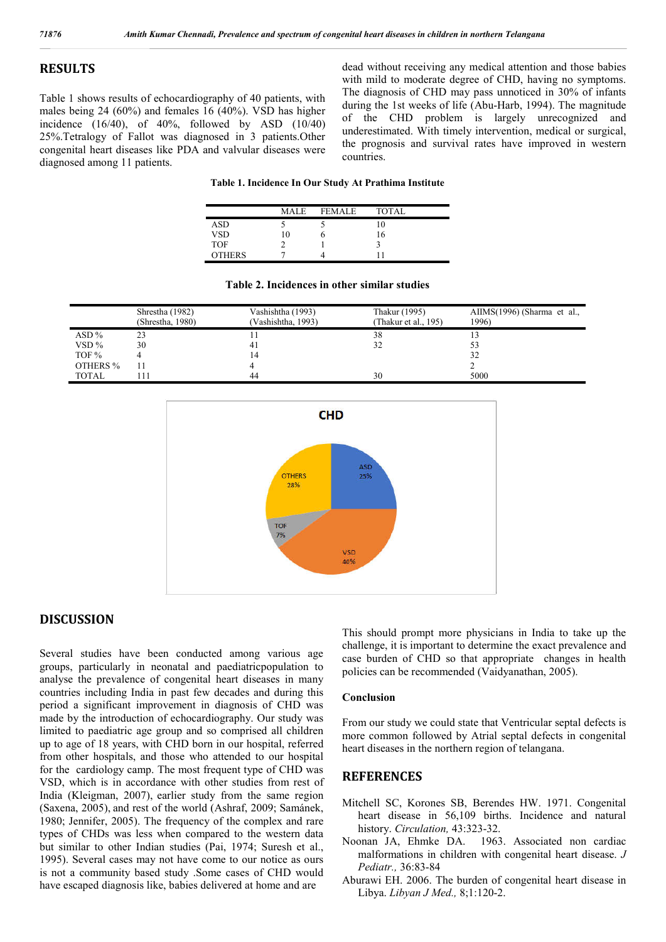### **RESULTS**

Table 1 shows results of echocardiography of 40 patients, with males being 24 (60%) and females 16 (40%). VSD has higher incidence  $(16/40)$ , of  $40\%$ , followed by ASD  $(10/40)$ 25%.Tetralogy of Fallot was diagnosed in 3 patients.Other congenital heart diseases like PDA and valvular diseases were diagnosed among 11 patients.

dead without receiving any medical attention and those babies with mild to moderate degree of CHD, having no symptoms. The diagnosis of CHD may pass unnoticed in 30% of infants during the 1st weeks of life (Abu-Harb, 1994). The magnitude of the CHD problem is largely unrecognized and underestimated. With timely intervention, medical or surgical, the prognosis and survival rates have improved in western countries.

#### **Table 1. Incidence In Our Study At Prathima Institute**

|               | <b>MALE</b> | <b>FEMALE</b> | <b>TOTAL</b> |  |
|---------------|-------------|---------------|--------------|--|
| ASD           |             |               | $\Omega$     |  |
| <b>VSD</b>    | 10          |               | 16           |  |
| <b>TOF</b>    |             |               |              |  |
| <b>OTHERS</b> |             |               |              |  |

|              | Shrestha (1982)<br>(Shrestha, 1980) | Vashishtha (1993)<br>(Vashishtha, 1993) | Thakur (1995)<br>Thakur et al., 195) | $AIIMS(1996)$ (Sharma et al.,<br>1996) |
|--------------|-------------------------------------|-----------------------------------------|--------------------------------------|----------------------------------------|
| ASD%         | 23                                  |                                         | 38                                   |                                        |
| $VSD\%$      | 30                                  | -4)                                     | 32                                   |                                        |
| TOF %        |                                     |                                         |                                      | 32                                     |
| OTHERS %     |                                     |                                         |                                      |                                        |
| <b>TOTAL</b> |                                     | 44                                      | 30                                   | 5000                                   |





# **DISCUSSION**

Several studies have been conducted among various age groups, particularly in neonatal and paediatricpopulation to analyse the prevalence of congenital heart diseases in many countries including India in past few decades and during this period a significant improvement in diagnosis of CHD was made by the introduction of echocardiography. Our study was limited to paediatric age group and so comprised all children up to age of 18 years, with CHD born in our hospital, referred from other hospitals, and those who attended to our hospital for the cardiology camp. The most frequent type of CHD was VSD, which is in accordance with other studies from rest of India (Kleigman, 2007), earlier study from the same region (Saxena, 2005), and rest of the world (Ashraf, 2009; Samánek, 1980; Jennifer, 2005). The frequency of the complex and rare types of CHDs was less when compared to the western data but similar to other Indian studies (Pai, 1974; Suresh et al., 1995). Several cases may not have come to our notice as ours is not a community based study .Some cases of CHD would have escaped diagnosis like, babies delivered at home and are

This should prompt more physicians in India to take up the challenge, it is important to determine the exact prevalence and case burden of CHD so that appropriate changes in health policies can be recommended (Vaidyanathan, 2005).

#### **Conclusion**

From our study we could state that Ventricular septal defects is more common followed by Atrial septal defects in congenital heart diseases in the northern region of telangana.

# **REFERENCES**

- Mitchell SC, Korones SB, Berendes HW. 1971. Congenital heart disease in 56,109 births. Incidence and natural history. *Circulation,* 43:323-32.
- Noonan JA, Ehmke DA. 1963. Associated non cardiac malformations in children with congenital heart disease. *J Pediatr.,* 36:83-84
- Aburawi EH. 2006. The burden of congenital heart disease in Libya. *Libyan J Med.,* 8;1:120-2.